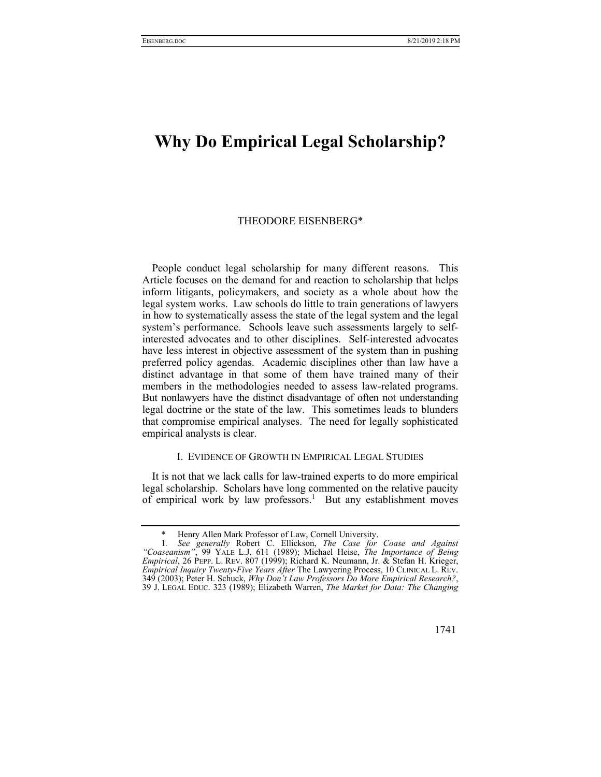## **Why Do Empirical Legal Scholarship?**

## THEODORE EISENBERG\*

People conduct legal scholarship for many different reasons. This Article focuses on the demand for and reaction to scholarship that helps inform litigants, policymakers, and society as a whole about how the legal system works. Law schools do little to train generations of lawyers in how to systematically assess the state of the legal system and the legal system's performance. Schools leave such assessments largely to selfinterested advocates and to other disciplines. Self-interested advocates have less interest in objective assessment of the system than in pushing preferred policy agendas. Academic disciplines other than law have a distinct advantage in that some of them have trained many of their members in the methodologies needed to assess law-related programs. But nonlawyers have the distinct disadvantage of often not understanding legal doctrine or the state of the law. This sometimes leads to blunders that compromise empirical analyses. The need for legally sophisticated empirical analysts is clear.

## I. EVIDENCE OF GROWTH IN EMPIRICAL LEGAL STUDIES

It is not that we lack calls for law-trained experts to do more empirical legal scholarship. Scholars have long commented on the relative paucity of empirical work by law professors.<sup>1</sup> But any establishment moves

1741

Henry Allen Mark Professor of Law, Cornell University.

<sup>1</sup>*. See generally* Robert C. Ellickson, *The Case for Coase and Against "Coaseanism"*, 99 YALE L.J. 611 (1989); Michael Heise, *The Importance of Being Empirical*, 26 PEPP. L. REV. 807 (1999); Richard K. Neumann, Jr. & Stefan H. Krieger, *Empirical Inquiry Twenty-Five Years After* The Lawyering Process, 10 CLINICAL L. REV. 349 (2003); Peter H. Schuck, *Why Don't Law Professors Do More Empirical Research?*, 39 J. LEGAL EDUC. 323 (1989); Elizabeth Warren, *The Market for Data: The Changing*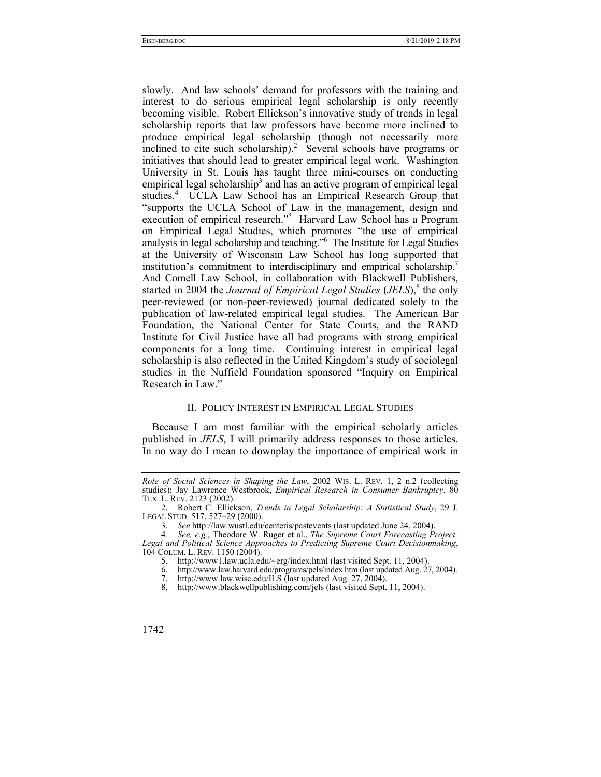slowly. And law schools' demand for professors with the training and interest to do serious empirical legal scholarship is only recently becoming visible. Robert Ellickson's innovative study of trends in legal scholarship reports that law professors have become more inclined to produce empirical legal scholarship (though not necessarily more inclined to cite such scholarship).<sup>2</sup> Several schools have programs or initiatives that should lead to greater empirical legal work. Washington University in St. Louis has taught three mini-courses on conducting empirical legal scholarship<sup>3</sup> and has an active program of empirical legal studies.<sup>4</sup> UCLA Law School has an Empirical Research Group that "supports the UCLA School of Law in the management, design and execution of empirical research."<sup>5</sup> Harvard Law School has a Program on Empirical Legal Studies, which promotes "the use of empirical analysis in legal scholarship and teaching."6 The Institute for Legal Studies at the University of Wisconsin Law School has long supported that institution's commitment to interdisciplinary and empirical scholarship.<sup>7</sup> And Cornell Law School, in collaboration with Blackwell Publishers, started in 2004 the *Journal of Empirical Legal Studies* (*JELS*),<sup>8</sup> the only peer-reviewed (or non-peer-reviewed) journal dedicated solely to the publication of law-related empirical legal studies. The American Bar Foundation, the National Center for State Courts, and the RAND Institute for Civil Justice have all had programs with strong empirical components for a long time. Continuing interest in empirical legal scholarship is also reflected in the United Kingdom's study of sociolegal studies in the Nuffield Foundation sponsored "Inquiry on Empirical Research in Law."

## II. POLICY INTEREST IN EMPIRICAL LEGAL STUDIES

Because I am most familiar with the empirical scholarly articles published in *JELS*, I will primarily address responses to those articles. In no way do I mean to downplay the importance of empirical work in

*Role of Social Sciences in Shaping the Law*, 2002 WIS. L. REV. 1, 2 n.2 (collecting studies); Jay Lawrence Westbrook, *Empirical Research in Consumer Bankruptcy*, 80 TEX. L. REV. 2123 (2002).

 <sup>2.</sup> Robert C. Ellickson, *Trends in Legal Scholarship: A Statistical Study*, 29 J. LEGAL STUD. 517, 527–29 (2000).

 <sup>3.</sup> *See* http://law.wustl.edu/centeris/pastevents (last updated June 24, 2004).

<sup>4</sup>*. See, e.g.*, Theodore W. Ruger et al., *The Supreme Court Forecasting Project: Legal and Political Science Approaches to Predicting Supreme Court Decisionmaking*, 104 COLUM. L. REV. 1150 (2004).

 <sup>5.</sup> http://www1.law.ucla.edu/~erg/index.html (last visited Sept. 11, 2004).

 <sup>6.</sup> http://www.law.harvard.edu/programs/pels/index.htm (last updated Aug. 27, 2004).

<sup>7.</sup> http://www.law.wisc.edu/ILS (last updated Aug. 27, 2004).<br>8. http://www.blackwellpublishing.com/jels (last visited Sept.

http://www.blackwellpublishing.com/jels (last visited Sept. 11, 2004).

<sup>1742</sup>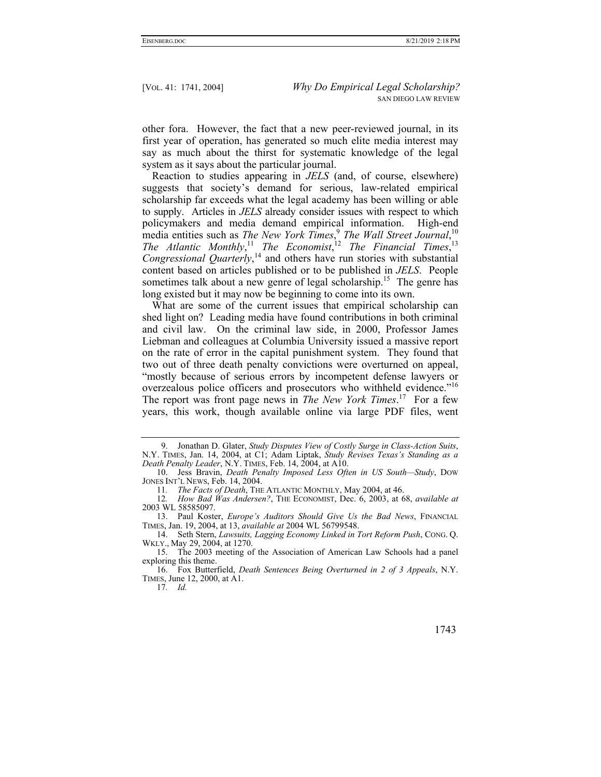other fora. However, the fact that a new peer-reviewed journal, in its first year of operation, has generated so much elite media interest may say as much about the thirst for systematic knowledge of the legal system as it says about the particular journal.

Reaction to studies appearing in *JELS* (and, of course, elsewhere) suggests that society's demand for serious, law-related empirical scholarship far exceeds what the legal academy has been willing or able to supply. Articles in *JELS* already consider issues with respect to which policymakers and media demand empirical information. High-end media entities such as *The New York Times*, <sup>9</sup> *The Wall Street Journal*, 10 The Atlantic Monthly,<sup>11</sup> The Economist,<sup>12</sup> The Financial Times,<sup>13</sup> *Congressional Quarterly*, 14 and others have run stories with substantial content based on articles published or to be published in *JELS*. People sometimes talk about a new genre of legal scholarship.<sup>15</sup> The genre has long existed but it may now be beginning to come into its own.

What are some of the current issues that empirical scholarship can shed light on? Leading media have found contributions in both criminal and civil law. On the criminal law side, in 2000, Professor James Liebman and colleagues at Columbia University issued a massive report on the rate of error in the capital punishment system. They found that two out of three death penalty convictions were overturned on appeal, "mostly because of serious errors by incompetent defense lawyers or overzealous police officers and prosecutors who withheld evidence."<sup>16</sup> The report was front page news in *The New York Times*. 17 For a few years, this work, though available online via large PDF files, went

17*. Id.*

1743

 <sup>9.</sup> Jonathan D. Glater, *Study Disputes View of Costly Surge in Class-Action Suits*, N.Y. TIMES, Jan. 14, 2004, at C1; Adam Liptak, *Study Revises Texas's Standing as a Death Penalty Leader*, N.Y. TIMES, Feb. 14, 2004, at A10.

 <sup>10.</sup> Jess Bravin, *Death Penalty Imposed Less Often in US South—Study*, DOW JONES INT'L NEWS, Feb. 14, 2004.

<sup>11</sup>*. The Facts of Death*, THE ATLANTIC MONTHLY, May 2004, at 46.

<sup>12</sup>*. How Bad Was Andersen?*, THE ECONOMIST, Dec. 6, 2003, at 68, *available at* 2003 WL 58585097.

 <sup>13.</sup> Paul Koster, *Europe's Auditors Should Give Us the Bad News*, FINANCIAL TIMES, Jan. 19, 2004, at 13, *available at* 2004 WL 56799548.

 <sup>14.</sup> Seth Stern, *Lawsuits, Lagging Economy Linked in Tort Reform Push*, CONG. Q. WKLY., May 29, 2004, at 1270.

 <sup>15.</sup> The 2003 meeting of the Association of American Law Schools had a panel exploring this theme.

 <sup>16.</sup> Fox Butterfield, *Death Sentences Being Overturned in 2 of 3 Appeals*, N.Y. TIMES, June 12, 2000, at A1.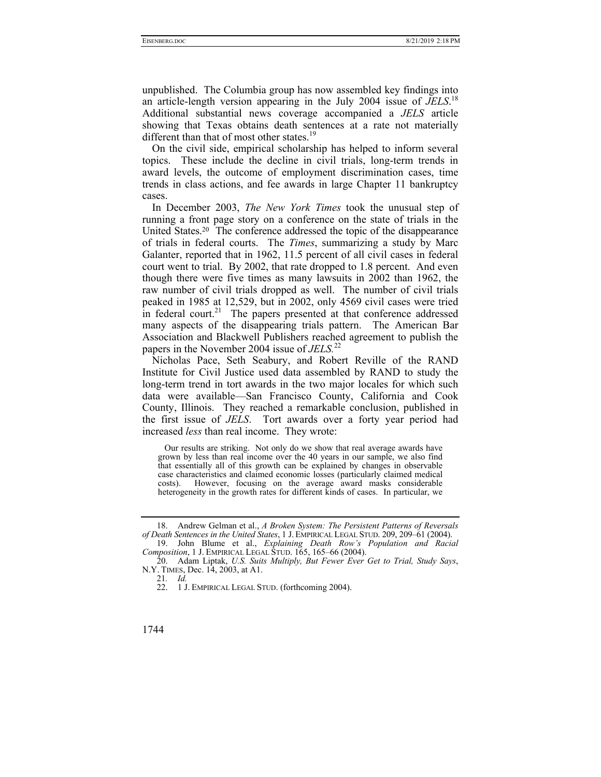unpublished. The Columbia group has now assembled key findings into an article-length version appearing in the July 2004 issue of *JELS*. 18 Additional substantial news coverage accompanied a *JELS* article showing that Texas obtains death sentences at a rate not materially different than that of most other states.<sup>19</sup>

On the civil side, empirical scholarship has helped to inform several topics. These include the decline in civil trials, long-term trends in award levels, the outcome of employment discrimination cases, time trends in class actions, and fee awards in large Chapter 11 bankruptcy cases.

In December 2003, *The New York Times* took the unusual step of running a front page story on a conference on the state of trials in the United States.20 The conference addressed the topic of the disappearance of trials in federal courts. The *Times*, summarizing a study by Marc Galanter, reported that in 1962, 11.5 percent of all civil cases in federal court went to trial. By 2002, that rate dropped to 1.8 percent. And even though there were five times as many lawsuits in 2002 than 1962, the raw number of civil trials dropped as well. The number of civil trials peaked in 1985 at 12,529, but in 2002, only 4569 civil cases were tried in federal court.<sup>21</sup> The papers presented at that conference addressed many aspects of the disappearing trials pattern. The American Bar Association and Blackwell Publishers reached agreement to publish the papers in the November 2004 issue of *JELS.*<sup>22</sup>

Nicholas Pace, Seth Seabury, and Robert Reville of the RAND Institute for Civil Justice used data assembled by RAND to study the long-term trend in tort awards in the two major locales for which such data were available—San Francisco County, California and Cook County, Illinois. They reached a remarkable conclusion, published in the first issue of *JELS*. Tort awards over a forty year period had increased *less* than real income. They wrote:

 Our results are striking. Not only do we show that real average awards have grown by less than real income over the 40 years in our sample, we also find that essentially all of this growth can be explained by changes in observable case characteristics and claimed economic losses (particularly claimed medical costs). However, focusing on the average award masks considerable heterogeneity in the growth rates for different kinds of cases. In particular, we

21*. Id.*

1744

 <sup>18.</sup> Andrew Gelman et al., *A Broken System: The Persistent Patterns of Reversals of Death Sentences in the United States*, 1 J. EMPIRICAL LEGAL STUD. 209, 209–61 (2004).

 <sup>19.</sup> John Blume et al., *Explaining Death Row's Population and Racial Composition*, 1 J. EMPIRICAL LEGAL STUD. 165, 165–66 (2004).

 <sup>20.</sup> Adam Liptak, *U.S. Suits Multiply, But Fewer Ever Get to Trial, Study Says*, N.Y. TIMES, Dec. 14, 2003, at A1.

 <sup>22. 1</sup> J. EMPIRICAL LEGAL STUD. (forthcoming 2004).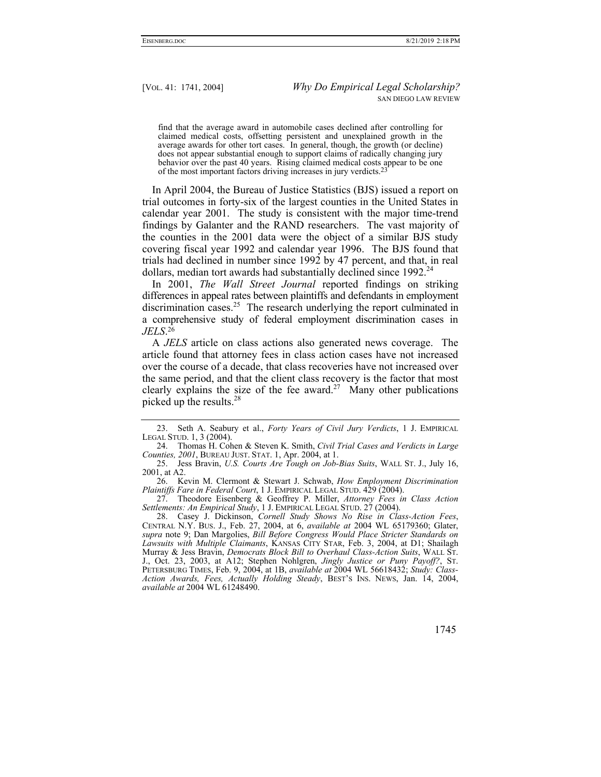find that the average award in automobile cases declined after controlling for claimed medical costs, offsetting persistent and unexplained growth in the average awards for other tort cases. In general, though, the growth (or decline) does not appear substantial enough to support claims of radically changing jury behavior over the past 40 years. Rising claimed medical costs appear to be one of the most important factors driving increases in jury verdicts.23

In April 2004, the Bureau of Justice Statistics (BJS) issued a report on trial outcomes in forty-six of the largest counties in the United States in calendar year 2001. The study is consistent with the major time-trend findings by Galanter and the RAND researchers. The vast majority of the counties in the 2001 data were the object of a similar BJS study covering fiscal year 1992 and calendar year 1996. The BJS found that trials had declined in number since 1992 by 47 percent, and that, in real dollars, median tort awards had substantially declined since 1992.<sup>24</sup>

In 2001, *The Wall Street Journal* reported findings on striking differences in appeal rates between plaintiffs and defendants in employment discrimination cases.<sup>25</sup> The research underlying the report culminated in a comprehensive study of federal employment discrimination cases in *JELS*. 26

A *JELS* article on class actions also generated news coverage. The article found that attorney fees in class action cases have not increased over the course of a decade, that class recoveries have not increased over the same period, and that the client class recovery is the factor that most clearly explains the size of the fee award.<sup>27</sup> Many other publications picked up the results. $28$ 

 <sup>23.</sup> Seth A. Seabury et al., *Forty Years of Civil Jury Verdicts*, 1 J. EMPIRICAL LEGAL STUD. 1, 3 (2004).

 <sup>24.</sup> Thomas H. Cohen & Steven K. Smith, *Civil Trial Cases and Verdicts in Large Counties, 2001*, BUREAU JUST. STAT. 1, Apr. 2004, at 1.

 <sup>25.</sup> Jess Bravin, *U.S. Courts Are Tough on Job-Bias Suits*, WALL ST. J., July 16, 2001, at A2.

 <sup>26.</sup> Kevin M. Clermont & Stewart J. Schwab, *How Employment Discrimination Plaintiffs Fare in Federal Court*, 1 J. EMPIRICAL LEGAL STUD. 429 (2004).

 <sup>27.</sup> Theodore Eisenberg & Geoffrey P. Miller, *Attorney Fees in Class Action Settlements: An Empirical Study*, 1 J. EMPIRICAL LEGAL STUD. 27 (2004).

 <sup>28.</sup> Casey J. Dickinson, *Cornell Study Shows No Rise in Class-Action Fees*, CENTRAL N.Y. BUS. J., Feb. 27, 2004, at 6, *available at* 2004 WL 65179360; Glater, *supra* note 9; Dan Margolies, *Bill Before Congress Would Place Stricter Standards on Lawsuits with Multiple Claimants*, KANSAS CITY STAR, Feb. 3, 2004, at D1; Shailagh Murray & Jess Bravin, *Democrats Block Bill to Overhaul Class-Action Suits*, WALL ST. J., Oct. 23, 2003, at A12; Stephen Nohlgren, *Jingly Justice or Puny Payoff?*, ST. PETERSBURG TIMES, Feb. 9, 2004, at 1B, *available at* 2004 WL 56618432; *Study: Class-Action Awards, Fees, Actually Holding Steady*, BEST'S INS. NEWS, Jan. 14, 2004, *available at* 2004 WL 61248490.